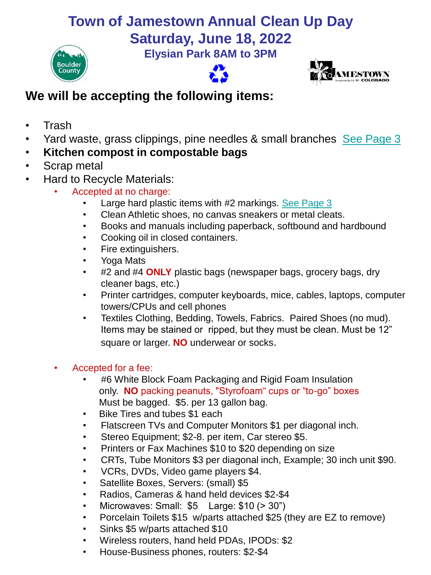# **Town of Jamestown Annual Clean Up Day**

**Saturday, June 18, 2022**









### **We will be accepting the following items:**

- Trash
- Yard waste, grass clippings, pine needles & small branches [See Page 3](#page-2-0)
- **Kitchen compost in compostable bags**
- Scrap metal
- Hard to Recycle Materials:
	- Accepted at no charge:
		- Large hard plastic items with #2 markings. [See Page 3](#page-2-0)
		- Clean Athletic shoes, no canvas sneakers or metal cleats.
		- Books and manuals including paperback, softbound and hardbound
		- Cooking oil in closed containers.
		- Fire extinguishers.
		- Yoga Mats
		- #2 and #4 **ONLY** plastic bags (newspaper bags, grocery bags, dry cleaner bags, etc.)
		- Printer cartridges, computer keyboards, mice, cables, laptops, computer towers/CPUs and cell phones
		- Textiles Clothing, Bedding, Towels, Fabrics. Paired Shoes (no mud). Items may be stained or ripped, but they must be clean. Must be 12" square or larger. **NO** underwear or socks.
	- Accepted for a fee:
		- #6 White Block Foam Packaging and Rigid Foam Insulation only. **NO** packing peanuts, "Styrofoam" cups or "to-go" boxes Must be bagged. \$5. per 13 gallon bag.
		- Bike Tires and tubes \$1 each
		- Flatscreen TVs and Computer Monitors \$1 per diagonal inch.
		- Stereo Equipment; \$2-8. per item, Car stereo \$5.
		- Printers or Fax Machines \$10 to \$20 depending on size
		- CRTs, Tube Monitors \$3 per diagonal inch, Example; 30 inch unit \$90.
		- VCRs, DVDs, Video game players \$4.
		- Satellite Boxes, Servers: (small) \$5
		- Radios, Cameras & hand held devices \$2-\$4
		- Microwaves: Small: \$5 Large: \$10 (> 30")
		- Porcelain Toilets \$15 w/parts attached \$25 (they are EZ to remove)
		- Sinks \$5 w/parts attached \$10
		- Wireless routers, hand held PDAs, IPODs: \$2
		- House-Business phones, routers: \$2-\$4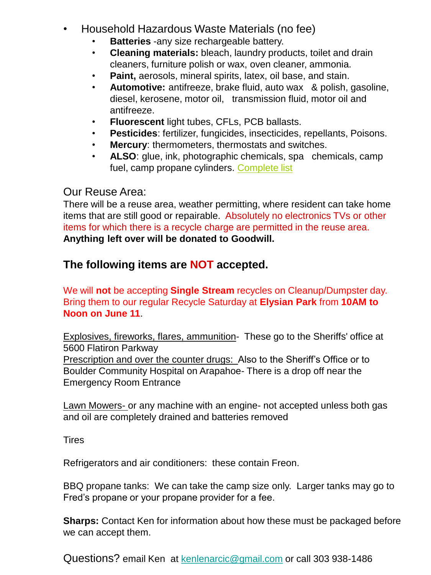- Household Hazardous Waste Materials (no fee)
	- **Batteries** -any size rechargeable battery.
	- **Cleaning materials:** bleach, laundry products, toilet and drain cleaners, furniture polish or wax, oven cleaner, ammonia.
	- **Paint,** aerosols, mineral spirits, latex, oil base, and stain.
	- **Automotive:** antifreeze, brake fluid, auto wax & polish, gasoline, diesel, kerosene, motor oil, transmission fluid, motor oil and antifreeze.
	- **Fluorescent** light tubes, CFLs, PCB ballasts.
	- **Pesticides**: fertilizer, fungicides, insecticides, repellants, Poisons.
	- **Mercury**: thermometers, thermostats and switches.
	- **ALSO**: glue, ink, photographic chemicals, spa chemicals, camp fuel, camp propane cylinders. [Complete list](https://www.bouldercounty.org/environment/hazardous-waste/accepted/)

#### Our Reuse Area:

There will be a reuse area, weather permitting, where resident can take home items that are still good or repairable. Absolutely no electronics TVs or other items for which there is a recycle charge are permitted in the reuse area. **Anything left over will be donated to Goodwill.**

#### **The following items are NOT accepted.**

We will **not** be accepting **Single Stream** recycles on Cleanup/Dumpster day. Bring them to our regular Recycle Saturday at **Elysian Park** from **10AM to Noon on June 11**.

Explosives, fireworks, flares, ammunition- These go to the Sheriffs' office at 5600 Flatiron Parkway

Prescription and over the counter drugs: Also to the Sheriff's Office or to Boulder Community Hospital on Arapahoe- There is a drop off near the Emergency Room Entrance

Lawn Mowers- or any machine with an engine- not accepted unless both gas and oil are completely drained and batteries removed

**Tires** 

Refrigerators and air conditioners: these contain Freon.

BBQ propane tanks: We can take the camp size only. Larger tanks may go to Fred's propane or your propane provider for a fee.

**Sharps:** Contact Ken for information about how these must be packaged before we can accept them.

Questions? email Ken at [kenlenarcic@gmail.com](mailto:kenlenarcic@gmail.com) or call 303 938-1486